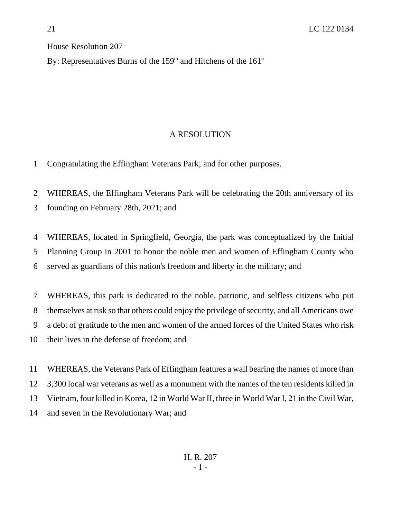## House Resolution 207

By: Representatives Burns of the  $159<sup>th</sup>$  and Hitchens of the  $161<sup>st</sup>$ 

## A RESOLUTION

Congratulating the Effingham Veterans Park; and for other purposes.

 WHEREAS, the Effingham Veterans Park will be celebrating the 20th anniversary of its founding on February 28th, 2021; and

 WHEREAS, located in Springfield, Georgia, the park was conceptualized by the Initial Planning Group in 2001 to honor the noble men and women of Effingham County who served as guardians of this nation's freedom and liberty in the military; and

 WHEREAS, this park is dedicated to the noble, patriotic, and selfless citizens who put themselves at risk so that others could enjoy the privilege of security, and all Americans owe a debt of gratitude to the men and women of the armed forces of the United States who risk their lives in the defense of freedom; and

 WHEREAS, the Veterans Park of Effingham features a wall bearing the names of more than 3,300 local war veterans as well as a monument with the names of the ten residents killed in Vietnam, four killed in Korea, 12 in World War II, three in World War I, 21 in the Civil War, and seven in the Revolutionary War; and